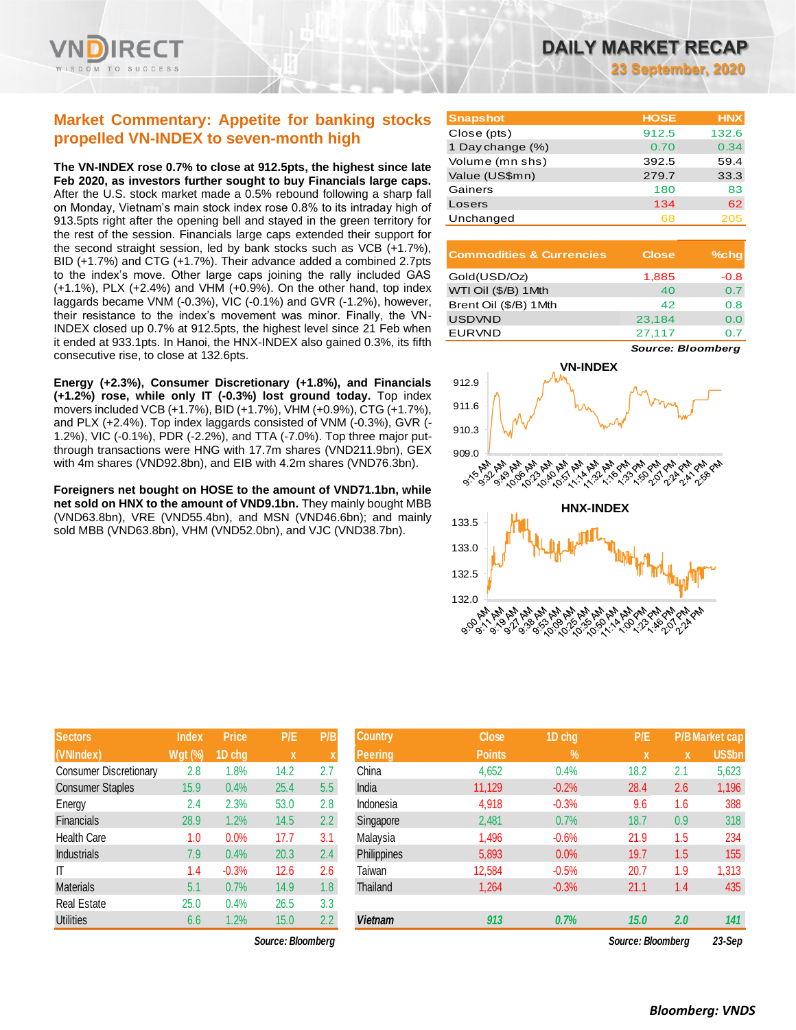

# **Market Commentary: Appetite for banking stocks propelled VN-INDEX to seven-month high**

**The VN-INDEX rose 0.7% to close at 912.5pts, the highest since late Feb 2020, as investors further sought to buy Financials large caps.** After the U.S. stock market made a 0.5% rebound following a sharp fall on Monday, Vietnam's main stock index rose 0.8% to its intraday high of 913.5pts right after the opening bell and stayed in the green territory for the rest of the session. Financials large caps extended their support for the second straight session, led by bank stocks such as VCB (+1.7%), BID (+1.7%) and CTG (+1.7%). Their advance added a combined 2.7pts to the index's move. Other large caps joining the rally included GAS (+1.1%), PLX (+2.4%) and VHM (+0.9%). On the other hand, top index laggards became VNM (-0.3%), VIC (-0.1%) and GVR (-1.2%), however, their resistance to the index's movement was minor. Finally, the VN-INDEX closed up 0.7% at 912.5pts, the highest level since 21 Feb when it ended at 933.1pts. In Hanoi, the HNX-INDEX also gained 0.3%, its fifth consecutive rise, to close at 132.6pts.

**Energy (+2.3%), Consumer Discretionary (+1.8%), and Financials (+1.2%) rose, while only IT (-0.3%) lost ground today.** Top index movers included VCB (+1.7%), BID (+1.7%), VHM (+0.9%), CTG (+1.7%), and PLX (+2.4%). Top index laggards consisted of VNM (-0.3%), GVR (- 1.2%), VIC (-0.1%), PDR (-2.2%), and TTA (-7.0%). Top three major putthrough transactions were HNG with 17.7m shares (VND211.9bn), GEX with 4m shares (VND92.8bn), and EIB with 4.2m shares (VND76.3bn).

**Foreigners net bought on HOSE to the amount of VND71.1bn, while net sold on HNX to the amount of VND9.1bn.** They mainly bought MBB (VND63.8bn), VRE (VND55.4bn), and MSN (VND46.6bn); and mainly sold MBB (VND63.8bn), VHM (VND52.0bn), and VJC (VND38.7bn).

| DAILY MARKET RECAP |  |  |                           |
|--------------------|--|--|---------------------------|
|                    |  |  | <b>23 September, 2020</b> |

**Snapshot HOSE HNX** Close (pts) 912.5 132.6 1 Day change (%) 0.70 0.34 Volume (mn shs) 392.5 59.4 Value (US\$mn) 279.7 33.3 Gainers 180 83 Losers 134 62 Unchanged 68 205

| <b>Commodities &amp; Currencies</b> | <b>Close</b> | $%$ chq |
|-------------------------------------|--------------|---------|
| Gold(USD/Oz)                        | 1,885        | $-0.8$  |
| WTI Oil (\$/B) 1Mth                 | 40           | 0.7     |
| Brent Oil (\$/B) 1 Mth              | 42           | 0.8     |
| <b>USDVND</b>                       | 23,184       | 0.0     |
| <b>EURVND</b>                       | 27,117       | 0.7     |

*Source: Bloomberg*



| <b>Sectors</b>                | <b>Index</b> | <b>Price</b> | P/E  | P/B |
|-------------------------------|--------------|--------------|------|-----|
| (VNIndex)                     | Wgt (%)      | 1D chg       | X    | X   |
| <b>Consumer Discretionary</b> | 2.8          | 1.8%         | 14.2 | 2.7 |
| <b>Consumer Staples</b>       | 15.9         | 0.4%         | 25.4 | 5.5 |
| Energy                        | 2.4          | 2.3%         | 53.0 | 2.8 |
| <b>Financials</b>             | 28.9         | 1.2%         | 14.5 | 2.2 |
| <b>Health Care</b>            | 1.0          | 0.0%         | 17.7 | 3.1 |
| <b>Industrials</b>            | 7.9          | 0.4%         | 20.3 | 2.4 |
| IT                            | 1.4          | $-0.3%$      | 12.6 | 2.6 |
| <b>Materials</b>              | 5.1          | 0.7%         | 14.9 | 1.8 |
| <b>Real Estate</b>            | 25.0         | 0.4%         | 26.5 | 3.3 |
| <b>Utilities</b>              | 6.6          | 1.2%         | 15.0 | 2.2 |

*Source: Bloomberg Source: Bloomberg 23-Sep*

| <b>Sectors</b>                | <b>Index</b>   | <b>Price</b> | P/E               | P/B           | <b>Country</b> | <b>Close</b>  | 1D chg     | P/E               |     | <b>P/B Market cap</b> |
|-------------------------------|----------------|--------------|-------------------|---------------|----------------|---------------|------------|-------------------|-----|-----------------------|
| (VNIndex)                     | <b>Wgt (%)</b> | 1D chg       | X                 |               | <b>Peering</b> | <b>Points</b> | $\sqrt{2}$ | X                 | X   | <b>US\$bn</b>         |
| <b>Consumer Discretionary</b> | 2.8            | .8%          | 14.2              | 2.7           | China          | 4,652         | 0.4%       | 18.2              | 2.1 | 5,623                 |
| <b>Consumer Staples</b>       | 15.9           | 0.4%         | 25.4              | 5.5           | India          | 11,129        | $-0.2%$    | 28.4              | 2.6 | 1,196                 |
| Energy                        | 2.4            | 2.3%         | 53.0              | 2.8           | Indonesia      | 4,918         | $-0.3%$    | 9.6               | 1.6 | 388                   |
| Financials                    | 28.9           | 1.2%         | 14.5              | 2.2           | Singapore      | 2,481         | 0.7%       | 18.7              | 0.9 | 318                   |
| <b>Health Care</b>            | 1.0            | 0.0%         | 17.7              | 3.1           | Malaysia       | 1,496         | $-0.6%$    | 21.9              | 1.5 | 234                   |
| <b>Industrials</b>            | 7.9            | 0.4%         | 20.3              | $2.4^{\circ}$ | Philippines    | 5,893         | 0.0%       | 19.7              | 1.5 | 155                   |
| ΙT                            | 1.4            | $-0.3%$      | 12.6              | 2.6           | Taiwan         | 12,584        | $-0.5%$    | 20.7              | 1.9 | 1,313                 |
| <b>Materials</b>              | 5.1            | 0.7%         | 14.9              | 1.8           | Thailand       | 1,264         | $-0.3%$    | 21.1              | 1.4 | 435                   |
| Real Estate                   | 25.0           | 0.4%         | 26.5              | 3.3           |                |               |            |                   |     |                       |
| <b>Utilities</b>              | 6.6            | 1.2%         | 15.0              | 2.2           | <b>Vietnam</b> | 913           | 0.7%       | 15.0              | 2.0 | 141                   |
|                               |                |              | Source: Bloombera |               |                |               |            | Source: Bloombera |     | 23-Sep                |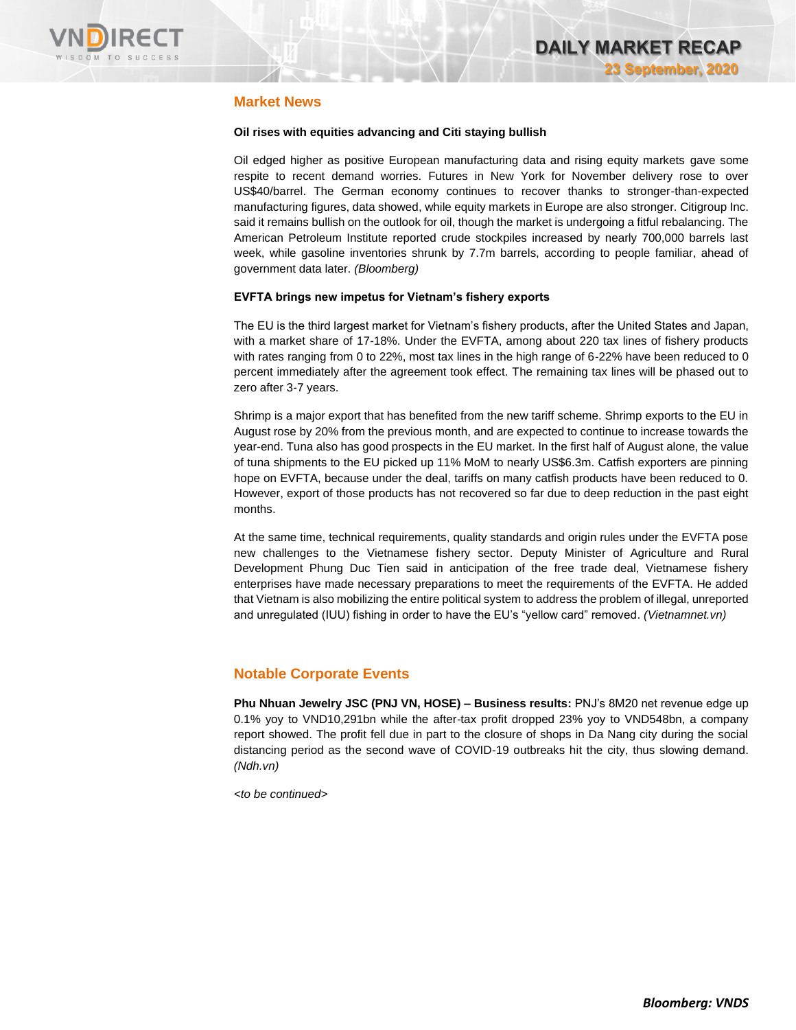

## **Market News**

#### **Oil rises with equities advancing and Citi staying bullish**

Oil edged higher as positive European manufacturing data and rising equity markets gave some respite to recent demand worries. Futures in New York for November delivery rose to over US\$40/barrel. The German economy continues to recover thanks to stronger-than-expected manufacturing figures, data showed, while equity markets in Europe are also stronger. Citigroup Inc. said it remains bullish on the outlook for oil, though the market is undergoing a fitful rebalancing. The American Petroleum Institute reported crude stockpiles increased by nearly 700,000 barrels last week, while gasoline inventories shrunk by 7.7m barrels, according to people familiar, ahead of government data later. *(Bloomberg)*

#### **EVFTA brings new impetus for Vietnam's fishery exports**

The EU is the third largest market for Vietnam's fishery products, after the United States and Japan, with a market share of 17-18%. Under the EVFTA, among about 220 tax lines of fishery products with rates ranging from 0 to 22%, most tax lines in the high range of 6-22% have been reduced to 0 percent immediately after the agreement took effect. The remaining tax lines will be phased out to zero after 3-7 years.

Shrimp is a major export that has benefited from the new tariff scheme. Shrimp exports to the EU in August rose by 20% from the previous month, and are expected to continue to increase towards the year-end. Tuna also has good prospects in the EU market. In the first half of August alone, the value of tuna shipments to the EU picked up 11% MoM to nearly US\$6.3m. Catfish exporters are pinning hope on EVFTA, because under the deal, tariffs on many catfish products have been reduced to 0. However, export of those products has not recovered so far due to deep reduction in the past eight months.

At the same time, technical requirements, quality standards and origin rules under the EVFTA pose new challenges to the Vietnamese fishery sector. Deputy Minister of Agriculture and Rural Development Phung Duc Tien said in anticipation of the free trade deal, Vietnamese fishery enterprises have made necessary preparations to meet the requirements of the EVFTA. He added that Vietnam is also mobilizing the entire political system to address the problem of illegal, unreported and unregulated (IUU) fishing in order to have the EU's "yellow card" removed. *(Vietnamnet.vn)*

## **Notable Corporate Events**

**Phu Nhuan Jewelry JSC (PNJ VN, HOSE) – Business results:** PNJ's 8M20 net revenue edge up 0.1% yoy to VND10,291bn while the after-tax profit dropped 23% yoy to VND548bn, a company report showed. The profit fell due in part to the closure of shops in Da Nang city during the social distancing period as the second wave of COVID-19 outbreaks hit the city, thus slowing demand. *(Ndh.vn)*

*<to be continued>*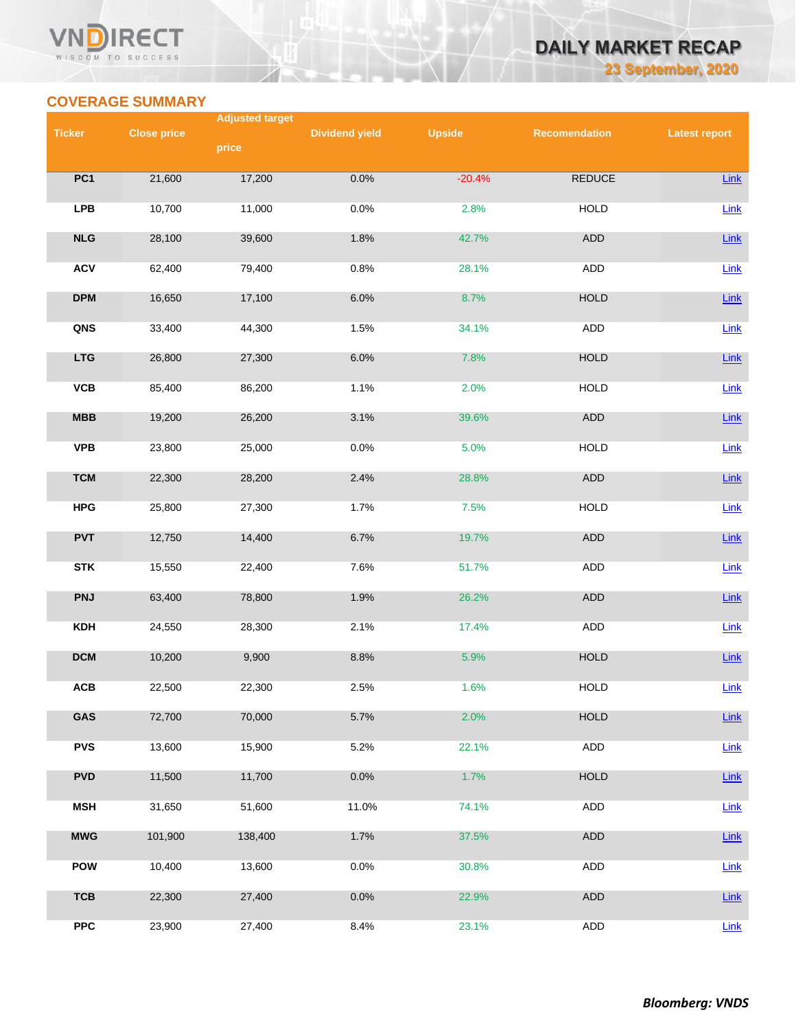#### VND **RECT** WISDOM TO SUCCESS

# **DAILY MARKET RECAP 23 September, 2020**

**COVERAGE SUMMARY**

|               |                    | <b>Adjusted target</b> |                       |               |                      |                      |
|---------------|--------------------|------------------------|-----------------------|---------------|----------------------|----------------------|
| <b>Ticker</b> | <b>Close price</b> | price                  | <b>Dividend yield</b> | <b>Upside</b> | <b>Recomendation</b> | <b>Latest report</b> |
|               |                    |                        |                       |               |                      |                      |
| PC1           | 21,600             | 17,200                 | 0.0%                  | $-20.4%$      | <b>REDUCE</b>        | Link                 |
| <b>LPB</b>    | 10,700             | 11,000                 | 0.0%                  | 2.8%          | <b>HOLD</b>          | Link                 |
| NLG           | 28,100             | 39,600                 | 1.8%                  | 42.7%         | ADD                  | Link                 |
| <b>ACV</b>    | 62,400             | 79,400                 | 0.8%                  | 28.1%         | <b>ADD</b>           | Link                 |
| <b>DPM</b>    | 16,650             | 17,100                 | 6.0%                  | 8.7%          | <b>HOLD</b>          | $Link$               |
| QNS           | 33,400             | 44,300                 | 1.5%                  | 34.1%         | ADD                  | Link                 |
| <b>LTG</b>    | 26,800             | 27,300                 | 6.0%                  | 7.8%          | <b>HOLD</b>          | Link                 |
| VCB           | 85,400             | 86,200                 | 1.1%                  | 2.0%          | <b>HOLD</b>          | Link                 |
| MBB           | 19,200             | 26,200                 | 3.1%                  | 39.6%         | ADD                  | Link                 |
| <b>VPB</b>    | 23,800             | 25,000                 | 0.0%                  | 5.0%          | <b>HOLD</b>          | Link                 |
| <b>TCM</b>    | 22,300             | 28,200                 | 2.4%                  | 28.8%         | <b>ADD</b>           | $Link$               |
| <b>HPG</b>    | 25,800             | 27,300                 | 1.7%                  | 7.5%          | <b>HOLD</b>          | Link                 |
| <b>PVT</b>    | 12,750             | 14,400                 | 6.7%                  | 19.7%         | ADD                  | Link                 |
| <b>STK</b>    | 15,550             | 22,400                 | 7.6%                  | 51.7%         | ADD                  | Link                 |
| <b>PNJ</b>    | 63,400             | 78,800                 | 1.9%                  | 26.2%         | ADD                  | Link                 |
| <b>KDH</b>    | 24,550             | 28,300                 | 2.1%                  | 17.4%         | <b>ADD</b>           | Link                 |
| <b>DCM</b>    | 10,200             | 9,900                  | 8.8%                  | 5.9%          | <b>HOLD</b>          | $Link$               |
| ACB           | 22,500             | 22,300                 | 2.5%                  | 1.6%          | <b>HOLD</b>          | $Link$               |
| GAS           | 72,700             | 70,000                 | 5.7%                  | 2.0%          | <b>HOLD</b>          | $Link$               |
| <b>PVS</b>    | 13,600             | 15,900                 | 5.2%                  | 22.1%         | ADD                  | Link                 |
| <b>PVD</b>    | 11,500             | 11,700                 | 0.0%                  | 1.7%          | <b>HOLD</b>          | $Link$               |
| <b>MSH</b>    | 31,650             | 51,600                 | 11.0%                 | 74.1%         | <b>ADD</b>           | Link                 |
| <b>MWG</b>    | 101,900            | 138,400                | 1.7%                  | 37.5%         | ADD                  | $Link$               |
| <b>POW</b>    | 10,400             | 13,600                 | 0.0%                  | 30.8%         | ADD                  | Link                 |
| <b>TCB</b>    | 22,300             | 27,400                 | 0.0%                  | 22.9%         | ADD                  | $Link$               |
| <b>PPC</b>    | 23,900             | 27,400                 | 8.4%                  | 23.1%         | ADD                  | Link                 |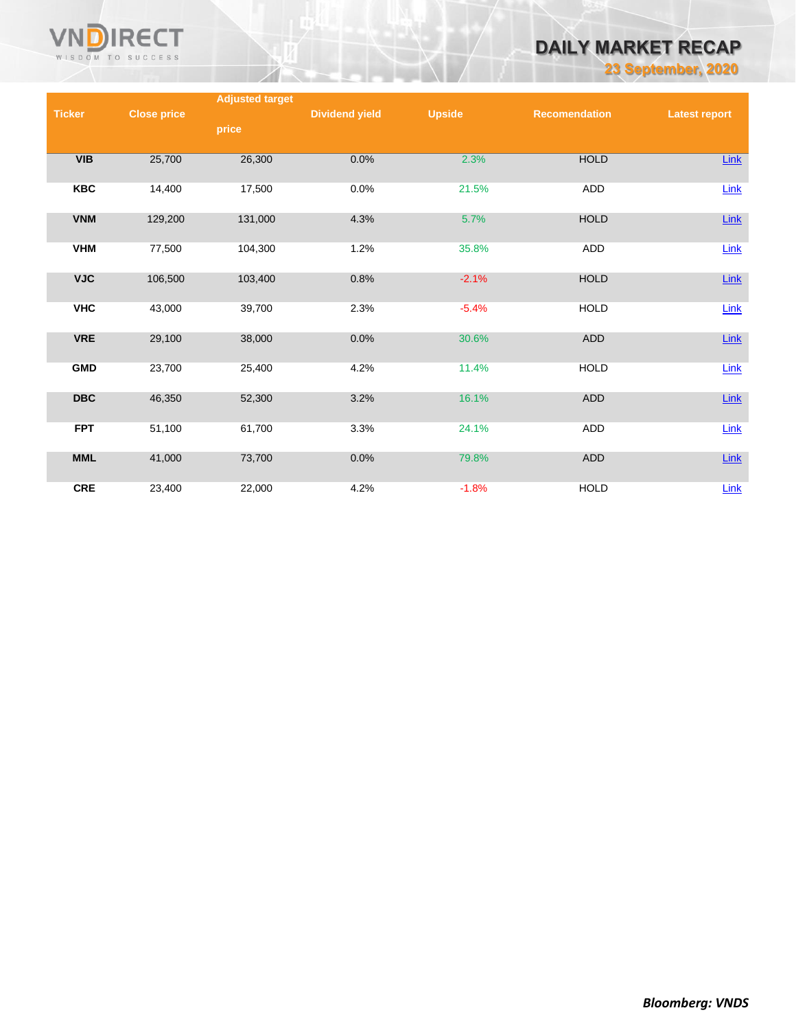

# **DAILY MARKET RECAP**

**23 September, 2020**

|                         |                    | <b>Adjusted target</b> |                       |               |                      |                      |
|-------------------------|--------------------|------------------------|-----------------------|---------------|----------------------|----------------------|
| <b>Ticker</b>           | <b>Close price</b> |                        | <b>Dividend yield</b> | <b>Upside</b> | <b>Recomendation</b> | <b>Latest report</b> |
|                         |                    | price                  |                       |               |                      |                      |
|                         |                    |                        |                       |               |                      |                      |
| VIB                     | 25,700             | 26,300                 | 0.0%                  | 2.3%          | <b>HOLD</b>          | Link                 |
|                         |                    |                        |                       |               |                      |                      |
| <b>KBC</b>              | 14,400             | 17,500                 | 0.0%                  | 21.5%         | ADD                  | Link                 |
|                         |                    |                        |                       |               |                      |                      |
| <b>VNM</b>              | 129,200            | 131,000                | 4.3%                  | 5.7%          | <b>HOLD</b>          | Link                 |
|                         |                    |                        |                       |               |                      |                      |
| <b>VHM</b>              | 77,500             | 104,300                | 1.2%                  | 35.8%         | ADD                  | $Link$               |
|                         |                    |                        |                       |               |                      |                      |
| <b>VJC</b>              | 106,500            | 103,400                | 0.8%                  | $-2.1%$       | <b>HOLD</b>          | Link                 |
|                         |                    |                        |                       |               |                      |                      |
| <b>VHC</b>              | 43,000             | 39,700                 | 2.3%                  | $-5.4%$       | <b>HOLD</b>          | Link                 |
|                         |                    |                        |                       |               |                      |                      |
| <b>VRE</b>              | 29,100             | 38,000                 | 0.0%                  | 30.6%         | ADD                  | $Link$               |
|                         |                    |                        |                       |               |                      |                      |
| <b>GMD</b>              | 23,700             | 25,400                 | 4.2%                  | 11.4%         | <b>HOLD</b>          | Link                 |
|                         |                    |                        |                       |               |                      |                      |
| $\overline{\text{DBC}}$ | 46,350             | 52,300                 | 3.2%                  | 16.1%         | ADD                  | Link                 |
|                         |                    |                        |                       |               |                      |                      |
| <b>FPT</b>              | 51,100             | 61,700                 | 3.3%                  | 24.1%         | ADD                  | $Link$               |
|                         |                    |                        |                       |               |                      |                      |
| <b>MML</b>              | 41,000             | 73,700                 | 0.0%                  | 79.8%         | ADD                  | Link                 |
|                         |                    |                        |                       |               |                      |                      |
| <b>CRE</b>              | 23,400             | 22,000                 | 4.2%                  | $-1.8%$       | <b>HOLD</b>          | Link                 |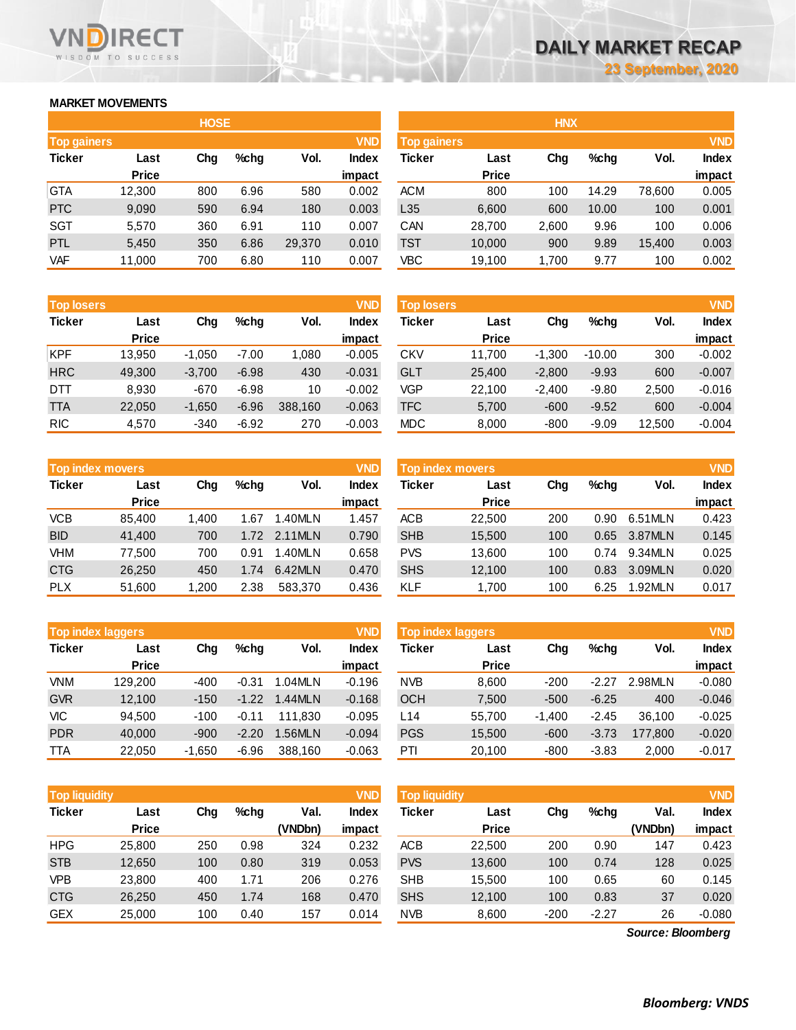### **MARKET MOVEMENTS**

WISDOM TO SUCCESS

n

**RECT** 

|                    |              | <b>HOSE</b> |      |        |              |
|--------------------|--------------|-------------|------|--------|--------------|
| <b>Top gainers</b> |              |             |      |        | <b>VND</b>   |
| <b>Ticker</b>      | Last         | Chg         | %chq | Vol.   | <b>Index</b> |
|                    | <b>Price</b> |             |      |        | impact       |
| <b>GTA</b>         | 12,300       | 800         | 6.96 | 580    | 0.002        |
| <b>PTC</b>         | 9,090        | 590         | 6.94 | 180    | 0.003        |
| SGT                | 5,570        | 360         | 6.91 | 110    | 0.007        |
| <b>PTL</b>         | 5,450        | 350         | 6.86 | 29,370 | 0.010        |
| <b>VAF</b>         | 11,000       | 700         | 6.80 | 110    | 0.007        |

| <b>Top losers</b> |              |          |         |         | <b>VND</b>   |
|-------------------|--------------|----------|---------|---------|--------------|
| <b>Ticker</b>     | Last         | Cha      | %chq    |         | <b>Index</b> |
|                   | <b>Price</b> |          |         |         | impact       |
| <b>KPF</b>        | 13,950       | $-1,050$ | $-7.00$ | 1,080   | $-0.005$     |
| <b>HRC</b>        | 49,300       | $-3,700$ | $-6.98$ | 430     | $-0.031$     |
| DTT               | 8.930        | $-670$   | $-6.98$ | 10      | $-0.002$     |
| TTA               | 22,050       | $-1,650$ | $-6.96$ | 388,160 | $-0.063$     |
| <b>RIC</b>        | 4,570        | $-340$   | $-6.92$ | 270     | $-0.003$     |

|               | <b>Top index movers</b> |       |      |               |              |  |  |
|---------------|-------------------------|-------|------|---------------|--------------|--|--|
| <b>Ticker</b> | Last                    | Cha   | %chq | Vol.          | <b>Index</b> |  |  |
|               | <b>Price</b>            |       |      |               | impact       |  |  |
| <b>VCB</b>    | 85,400                  | 1,400 | 1.67 | 1.40MLN       | 1.457        |  |  |
| <b>BID</b>    | 41,400                  | 700   |      | 1.72 2.11 MLN | 0.790        |  |  |
| <b>VHM</b>    | 77,500                  | 700   | 0.91 | 1.40MLN       | 0.658        |  |  |
| <b>CTG</b>    | 26,250                  | 450   | 1.74 | 6.42MLN       | 0.470        |  |  |
| <b>PLX</b>    | 51,600                  | 1,200 | 2.38 | 583,370       | 0.436        |  |  |

|               | <b>Top index laggers</b> |          |         |         | <b>VND</b>   |
|---------------|--------------------------|----------|---------|---------|--------------|
| <b>Ticker</b> | Last                     | Cha      | %chq    | Vol.    | <b>Index</b> |
|               | <b>Price</b>             |          |         |         | impact       |
| <b>VNM</b>    | 129,200                  | $-400$   | $-0.31$ | 1.04MLN | $-0.196$     |
| <b>GVR</b>    | 12,100                   | $-150$   | $-1.22$ | 1.44MLN | $-0.168$     |
| VIC           | 94,500                   | $-100$   | $-0.11$ | 111.830 | $-0.095$     |
| <b>PDR</b>    | 40,000                   | $-900$   | $-2.20$ | 1.56MLN | $-0.094$     |
| TTA           | 22,050                   | $-1,650$ | $-6.96$ | 388,160 | $-0.063$     |

| <b>VND</b><br><b>Top liquidity</b> |              |     |      |         |              |  |  |
|------------------------------------|--------------|-----|------|---------|--------------|--|--|
| <b>Ticker</b>                      | Last         | Cha | %chq | Val.    | <b>Index</b> |  |  |
|                                    | <b>Price</b> |     |      | (VNDbn) | impact       |  |  |
| <b>HPG</b>                         | 25,800       | 250 | 0.98 | 324     | 0.232        |  |  |
| <b>STB</b>                         | 12,650       | 100 | 0.80 | 319     | 0.053        |  |  |
| <b>VPB</b>                         | 23,800       | 400 | 1.71 | 206     | 0.276        |  |  |
| <b>CTG</b>                         | 26,250       | 450 | 1.74 | 168     | 0.470        |  |  |
| <b>GEX</b>                         | 25,000       | 100 | 0.40 | 157     | 0.014        |  |  |

| <b>HOSE</b><br><b>Top gainers</b><br>Ticker<br>$%$ chg<br>Vol.<br>Chg<br>Last<br><b>Price</b><br>GTA<br>6.96<br>12,300<br>800<br>580<br><b>PTC</b><br>180<br>9,090<br>590<br>6.94<br>SGT<br>360<br>110<br>6.91<br>5,570<br><b>PTL</b><br>350<br>6.86<br>5,450<br>29,370<br>VAF |     |      |     | <b>HNX</b>   |               |              |             |         |        |              |
|--------------------------------------------------------------------------------------------------------------------------------------------------------------------------------------------------------------------------------------------------------------------------------|-----|------|-----|--------------|---------------|--------------|-------------|---------|--------|--------------|
|                                                                                                                                                                                                                                                                                |     |      |     | <b>VND</b>   |               |              |             |         |        | <b>VND</b>   |
|                                                                                                                                                                                                                                                                                |     |      |     | <b>Index</b> | <b>Ticker</b> | Last         | Chg         | $%$ chg | Vol.   | <b>Index</b> |
|                                                                                                                                                                                                                                                                                |     |      |     | impact       |               | <b>Price</b> |             |         |        | impact       |
|                                                                                                                                                                                                                                                                                |     |      |     | 0.002        | <b>ACM</b>    | 800          | 100         | 14.29   | 78,600 | 0.005        |
|                                                                                                                                                                                                                                                                                |     |      |     | 0.003        | L35           | 6,600        | 600         | 10.00   | 100    | 0.001        |
|                                                                                                                                                                                                                                                                                |     |      |     | 0.007        | CAN           | 28,700       | 2,600       | 9.96    | 100    | 0.006        |
|                                                                                                                                                                                                                                                                                |     |      |     | 0.010        | TST           | 10,000       | 900         | 9.89    | 15,400 | 0.003        |
| 11,000                                                                                                                                                                                                                                                                         | 700 | 6.80 | 110 | 0.007        | VBC.          | 19,100       | 1,700       | 9.77    | 100    | 0.002        |
|                                                                                                                                                                                                                                                                                |     |      |     |              |               |              | Top gainers |         |        |              |

| <b>Top losers</b> |              |          |         |         | <b>VND</b>   | <b>Top losers</b> |              |          |          |        | <b>VND</b>   |
|-------------------|--------------|----------|---------|---------|--------------|-------------------|--------------|----------|----------|--------|--------------|
| Ticker            | Last         | Chg      | $%$ chg | Vol.    | <b>Index</b> | Ticker            | Last         | Chg      | $%$ chg  | Vol.   | <b>Index</b> |
|                   | <b>Price</b> |          |         |         | impact       |                   | <b>Price</b> |          |          |        | impact       |
| KPF               | 13.950       | $-1.050$ | $-7.00$ | .080    | $-0.005$     | <b>CKV</b>        | 11.700       | $-1.300$ | $-10.00$ | 300    | $-0.002$     |
| HRC               | 49,300       | $-3,700$ | $-6.98$ | 430     | $-0.031$     | <b>GLT</b>        | 25,400       | $-2,800$ | $-9.93$  | 600    | $-0.007$     |
| DTT               | 8,930        | $-670$   | $-6.98$ | 10      | $-0.002$     | VGP               | 22.100       | $-2.400$ | $-9.80$  | 2,500  | $-0.016$     |
| TTA               | 22,050       | $-1,650$ | $-6.96$ | 388.160 | $-0.063$     | <b>TFC</b>        | 5,700        | $-600$   | $-9.52$  | 600    | $-0.004$     |
| <b>RIC</b>        | 4,570        | $-340$   | $-6.92$ | 270     | $-0.003$     | <b>MDC</b>        | 8,000        | $-800$   | $-9.09$  | 12,500 | $-0.004$     |

| <b>Top index movers</b> |              |       |         |         | <b>VND</b>   | <b>Top index movers</b> |              |     |         |          |              |
|-------------------------|--------------|-------|---------|---------|--------------|-------------------------|--------------|-----|---------|----------|--------------|
| Ticker                  | Last         | Chg   | $%$ chg | Vol.    | <b>Index</b> | Ticker                  | Last         | Chg | $%$ chg | Vol.     | <b>Index</b> |
|                         | <b>Price</b> |       |         |         | impact       |                         | <b>Price</b> |     |         |          | impact       |
| VCB                     | 85.400       | 1.400 | 1.67    | .40MLN  | 1.457        | <b>ACB</b>              | 22,500       | 200 | 0.90    | 6.51 MLN | 0.423        |
| <b>BID</b>              | 41,400       | 700   | 1.72    | 2.11MLN | 0.790        | <b>SHB</b>              | 15,500       | 100 | 0.65    | 3.87MLN  | 0.145        |
| VHM                     | 77.500       | 700   | 0.91    | .40MLN  | 0.658        | <b>PVS</b>              | 13,600       | 100 | 0.74    | 9.34MLN  | 0.025        |
| <b>CTG</b>              | 26,250       | 450   | 1.74    | 6.42MLN | 0.470        | <b>SHS</b>              | 12,100       | 100 | 0.83    | 3.09MLN  | 0.020        |
| <b>PLX</b>              | 51,600       | 1.200 | 2.38    | 583.370 | 0.436        | KLF                     | 1,700        | 100 | 6.25    | 1.92MLN  | 0.017        |

|            | <b>Top index laggers</b> |          |         |         |              | <b>Top index laggers</b> |              |          |         |         | <b>VND</b>   |
|------------|--------------------------|----------|---------|---------|--------------|--------------------------|--------------|----------|---------|---------|--------------|
| Ticker     | Last                     | Chg      | $%$ chg | Vol.    | <b>Index</b> | Ticker                   | Last         | Chg      | $%$ chg | Vol.    | <b>Index</b> |
|            | <b>Price</b>             |          |         |         | impact       |                          | <b>Price</b> |          |         |         | impact       |
| <b>VNM</b> | 129.200                  | $-400$   | $-0.31$ | 1.04MLN | $-0.196$     | <b>NVB</b>               | 8.600        | $-200$   | $-2.27$ | 2.98MLN | $-0.080$     |
| <b>GVR</b> | 12.100                   | $-150$   | $-1.22$ | 1.44MLN | $-0.168$     | <b>OCH</b>               | 7,500        | $-500$   | $-6.25$ | 400     | $-0.046$     |
| VIC        | 94.500                   | $-100$   | $-0.11$ | 111.830 | $-0.095$     | L14                      | 55.700       | $-1.400$ | $-2.45$ | 36.100  | $-0.025$     |
| PDR        | 40,000                   | $-900$   | $-2.20$ | .56MLN  | $-0.094$     | <b>PGS</b>               | 15,500       | $-600$   | $-3.73$ | 177.800 | $-0.020$     |
| TTA        | 22,050                   | $-1,650$ | $-6.96$ | 388.160 | $-0.063$     | PTI                      | 20,100       | $-800$   | $-3.83$ | 2,000   | $-0.017$     |

| <b>Top liquidity</b> |              |     |         |         | <b>VND</b>   | <b>Top liquidity</b> |              |        |         |                   | <b>VND</b>   |
|----------------------|--------------|-----|---------|---------|--------------|----------------------|--------------|--------|---------|-------------------|--------------|
| Ticker               | Last         | Chg | $%$ chq | Val.    | <b>Index</b> | Ticker               | Last         | Chg    | %chq    | Val.              | <b>Index</b> |
|                      | <b>Price</b> |     |         | (VNDbn) | impact       |                      | <b>Price</b> |        |         | (VNDbn)           | impact       |
| HPG                  | 25,800       | 250 | 0.98    | 324     | 0.232        | <b>ACB</b>           | 22,500       | 200    | 0.90    | 147               | 0.423        |
| <b>STB</b>           | 12,650       | 100 | 0.80    | 319     | 0.053        | <b>PVS</b>           | 13,600       | 100    | 0.74    | 128               | 0.025        |
| VPB                  | 23,800       | 400 | 1.71    | 206     | 0.276        | <b>SHB</b>           | 15,500       | 100    | 0.65    | 60                | 0.145        |
| <b>CTG</b>           | 26,250       | 450 | 1.74    | 168     | 0.470        | <b>SHS</b>           | 12,100       | 100    | 0.83    | 37                | 0.020        |
| GEX                  | 25,000       | 100 | 0.40    | 157     | 0.014        | <b>NVB</b>           | 8,600        | $-200$ | $-2.27$ | 26                | $-0.080$     |
|                      |              |     |         |         |              |                      |              |        |         | Source: Bloomberg |              |

*Source: Bloomberg*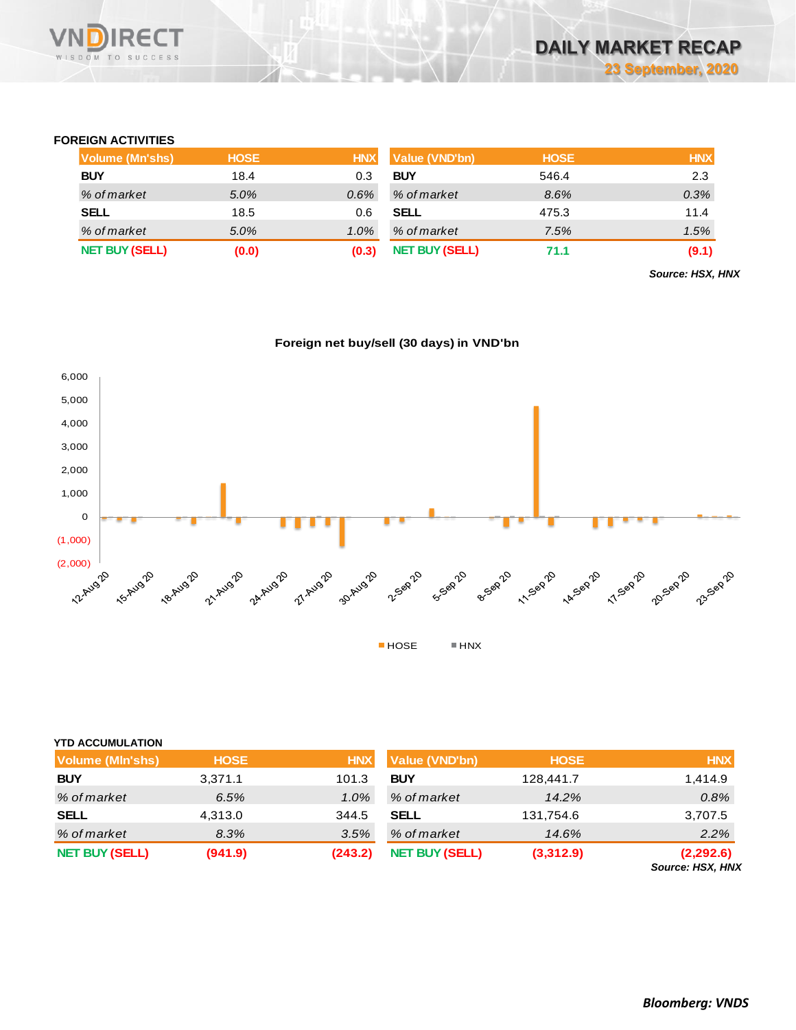

### **FOREIGN ACTIVITIES**

| Volume (Mn'shs)       | <b>HOSE</b> | <b>HNX</b> | <b>Value (VND'bn)</b> | <b>HOSE</b> | <b>HNX</b> |
|-----------------------|-------------|------------|-----------------------|-------------|------------|
| <b>BUY</b>            | 18.4        | 0.3        | <b>BUY</b>            | 546.4       | 2.3        |
| % of market           | 5.0%        | $0.6\%$    | % of market           | 8.6%        | 0.3%       |
| <b>SELL</b>           | 18.5        | 0.6        | <b>SELL</b>           | 475.3       | 11.4       |
| % of market           | 5.0%        | $1.0\%$    | % of market           | 7.5%        | 1.5%       |
| <b>NET BUY (SELL)</b> | (0.0)       | (0.3)      | <b>NET BUY (SELL)</b> | 71.1        | (9.1)      |

*Source: HSX, HNX*

### **Foreign net buy/sell (30 days) in VND'bn**



| <b>YTD ACCUMULATION</b> |             |            |                       |             |                               |
|-------------------------|-------------|------------|-----------------------|-------------|-------------------------------|
| Volume (MIn'shs)        | <b>HOSE</b> | <b>HNX</b> | Value (VND'bn)        | <b>HOSE</b> | <b>HNX</b>                    |
| <b>BUY</b>              | 3,371.1     | 101.3      | <b>BUY</b>            | 128,441.7   | 1,414.9                       |
| % of market             | 6.5%        | 1.0%       | % of market           | 14.2%       | 0.8%                          |
| <b>SELL</b>             | 4,313.0     | 344.5      | <b>SELL</b>           | 131,754.6   | 3,707.5                       |
| % of market             | 8.3%        | 3.5%       | % of market           | 14.6%       | 2.2%                          |
| <b>NET BUY (SELL)</b>   | (941.9)     | (243.2)    | <b>NET BUY (SELL)</b> | (3,312.9)   | (2,292.6)<br>Source: HSX, HNX |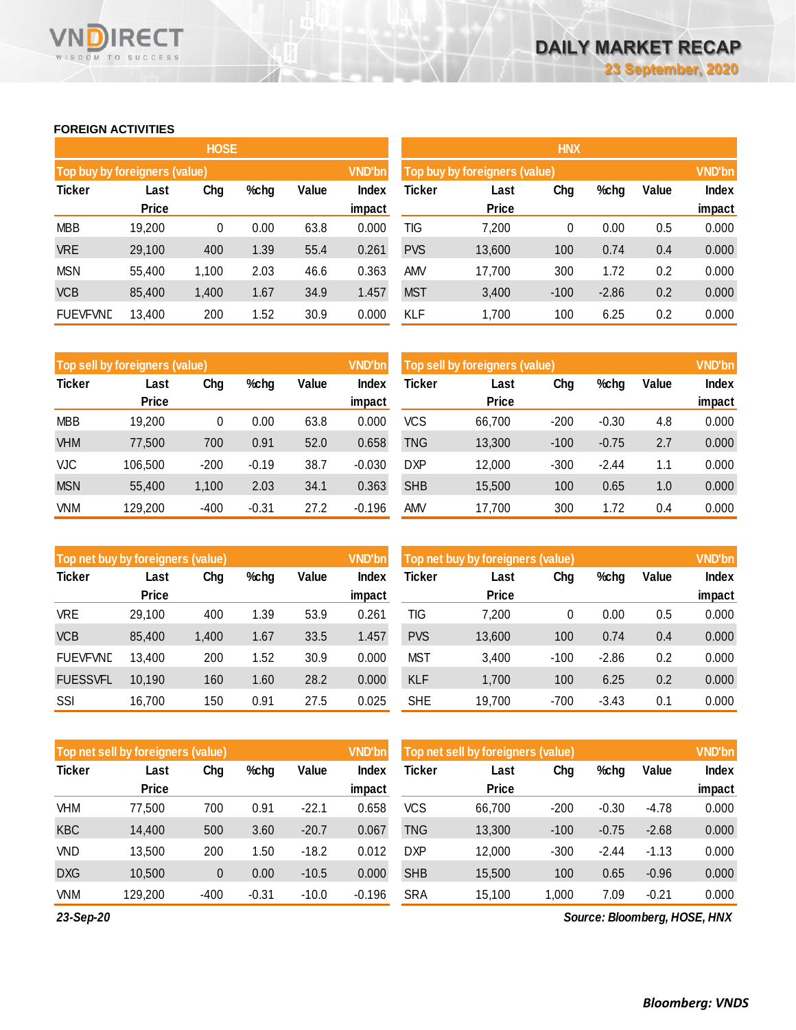## **FOREIGN ACTIVITIES**

WISDOM TO SUCCESS

VND

**RECT** 

|                               |              | <b>HOSE</b> |      |       |               | <b>HNX</b> |                               |        |         |       |               |
|-------------------------------|--------------|-------------|------|-------|---------------|------------|-------------------------------|--------|---------|-------|---------------|
| Top buy by foreigners (value) |              |             |      |       | <b>VND'bn</b> |            | Top buy by foreigners (value) |        |         |       | <b>VND'bn</b> |
| <b>Ticker</b>                 | Last         | Chg         | %chg | Value | <b>Index</b>  | Ticker     | Last                          | Chg    | %chg    | Value | <b>Index</b>  |
|                               | <b>Price</b> |             |      |       | impact        |            | <b>Price</b>                  |        |         |       | impact        |
| <b>MBB</b>                    | 19,200       | 0           | 0.00 | 63.8  | 0.000         | TIG        | 7,200                         | 0      | 0.00    | 0.5   | 0.000         |
| <b>VRE</b>                    | 29,100       | 400         | 1.39 | 55.4  | 0.261         | <b>PVS</b> | 13,600                        | 100    | 0.74    | 0.4   | 0.000         |
| <b>MSN</b>                    | 55,400       | 1,100       | 2.03 | 46.6  | 0.363         | <b>AMV</b> | 17,700                        | 300    | 1.72    | 0.2   | 0.000         |
| <b>VCB</b>                    | 85,400       | 1,400       | 1.67 | 34.9  | 1.457         | <b>MST</b> | 3,400                         | $-100$ | $-2.86$ | 0.2   | 0.000         |
| <b>FUEVFVND</b>               | 13,400       | 200         | 1.52 | 30.9  | 0.000         | KLF        | 1,700                         | 100    | 6.25    | 0.2   | 0.000         |

|               | Top sell by foreigners (value) |        |         |       |          | Top sell by foreigners (value) |              |        |         |       | <b>VND'bn</b> |
|---------------|--------------------------------|--------|---------|-------|----------|--------------------------------|--------------|--------|---------|-------|---------------|
| <b>Ticker</b> | Last                           | Chg    | %chg    | Value | Index    | Ticker                         | Last         | Chg    | %chg    | Value | Index         |
|               | <b>Price</b>                   |        |         |       | impact   |                                | <b>Price</b> |        |         |       | impact        |
| <b>MBB</b>    | 19,200                         | 0      | 0.00    | 63.8  | 0.000    | <b>VCS</b>                     | 66,700       | $-200$ | $-0.30$ | 4.8   | 0.000         |
| <b>VHM</b>    | 77,500                         | 700    | 0.91    | 52.0  | 0.658    | TNG                            | 13,300       | $-100$ | $-0.75$ | 2.7   | 0.000         |
| <b>VJC</b>    | 106,500                        | $-200$ | $-0.19$ | 38.7  | $-0.030$ | <b>DXP</b>                     | 12,000       | $-300$ | $-2.44$ | 1.1   | 0.000         |
| <b>MSN</b>    | 55,400                         | 1,100  | 2.03    | 34.1  | 0.363    | <b>SHB</b>                     | 15,500       | 100    | 0.65    | 1.0   | 0.000         |
| VNM           | 129,200                        | $-400$ | $-0.31$ | 27.2  | $-0.196$ | <b>AMV</b>                     | 17,700       | 300    | 1.72    | 0.4   | 0.000         |

| Top net buy by foreigners (value) |              |       |      |       | <b>VND'bn</b> | Top net buy by foreigners (value) |              |        |         |       | <b>VND'bn</b> |
|-----------------------------------|--------------|-------|------|-------|---------------|-----------------------------------|--------------|--------|---------|-------|---------------|
| <b>Ticker</b>                     | Last         | Chg   | %chg | Value | Index         | Ticker                            | Last         | Chg    | %chg    | Value | Index         |
|                                   | <b>Price</b> |       |      |       | impact        |                                   | <b>Price</b> |        |         |       | impact        |
| <b>VRE</b>                        | 29,100       | 400   | 1.39 | 53.9  | 0.261         | TIG                               | 7,200        | 0      | 0.00    | 0.5   | 0.000         |
| <b>VCB</b>                        | 85,400       | 1,400 | 1.67 | 33.5  | 1.457         | <b>PVS</b>                        | 13,600       | 100    | 0.74    | 0.4   | 0.000         |
| <b>FUEVFVND</b>                   | 13.400       | 200   | 1.52 | 30.9  | 0.000         | <b>MST</b>                        | 3,400        | $-100$ | $-2.86$ | 0.2   | 0.000         |
| <b>FUESSVFL</b>                   | 10.190       | 160   | 1.60 | 28.2  | 0.000         | <b>KLF</b>                        | 1,700        | 100    | 6.25    | 0.2   | 0.000         |
| SSI                               | 16,700       | 150   | 0.91 | 27.5  | 0.025         | <b>SHE</b>                        | 19,700       | $-700$ | $-3.43$ | 0.1   | 0.000         |

|               | Top net sell by foreigners (value) |        |         |         | <b>VND'bn</b> | Top net sell by foreigners (value) |        | <b>VND'bn</b> |         |         |              |
|---------------|------------------------------------|--------|---------|---------|---------------|------------------------------------|--------|---------------|---------|---------|--------------|
| <b>Ticker</b> | Last                               | Chg    | %chg    | Value   | <b>Index</b>  | Ticker                             | Last   | Chg           | %chg    | Value   | <b>Index</b> |
|               | <b>Price</b>                       |        |         |         | impact        |                                    | Price  |               |         |         | impact       |
| VHM           | 77,500                             | 700    | 0.91    | $-22.1$ | 0.658         | <b>VCS</b>                         | 66,700 | $-200$        | $-0.30$ | $-4.78$ | 0.000        |
| <b>KBC</b>    | 14.400                             | 500    | 3.60    | $-20.7$ | 0.067         | <b>TNG</b>                         | 13,300 | $-100$        | $-0.75$ | $-2.68$ | 0.000        |
| VND           | 13,500                             | 200    | 1.50    | $-18.2$ | 0.012         | <b>DXP</b>                         | 12,000 | $-300$        | $-2.44$ | $-1.13$ | 0.000        |
| <b>DXG</b>    | 10.500                             | 0      | 0.00    | $-10.5$ | 0.000         | <b>SHB</b>                         | 15,500 | 100           | 0.65    | $-0.96$ | 0.000        |
| VNM           | 129,200                            | $-400$ | $-0.31$ | $-10.0$ | $-0.196$      | <b>SRA</b>                         | 15.100 | 1.000         | 7.09    | $-0.21$ | 0.000        |

*23-Sep-20*

*Source: Bloomberg, HOSE, HNX*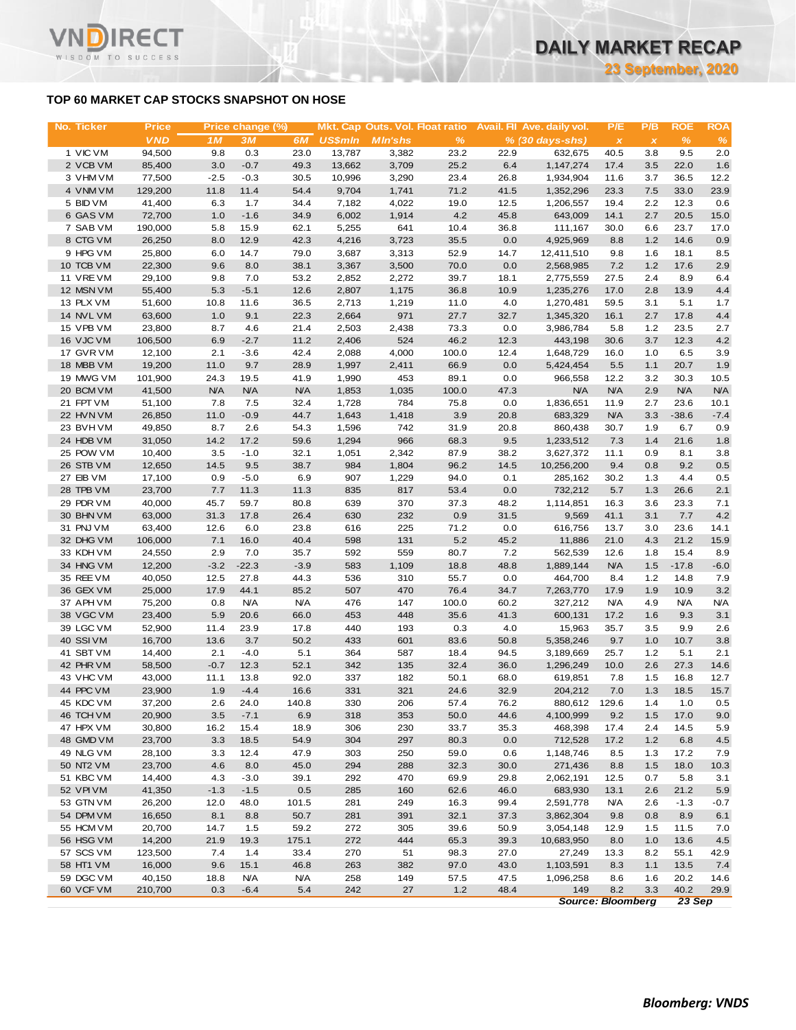### **TOP 60 MARKET CAP STOCKS SNAPSHOT ON HOSE**

Τ.

WISDOM TO SUCCESS

| No. Ticker             | <b>Price</b>      |              | Price change (%) |               |                |                | Mkt. Cap Outs. Vol. Float ratio |              | Avail. Fil Ave. daily vol. | P/E                       | P/B          | <b>ROE</b>    | <b>ROA</b>   |
|------------------------|-------------------|--------------|------------------|---------------|----------------|----------------|---------------------------------|--------------|----------------------------|---------------------------|--------------|---------------|--------------|
|                        | <b>VND</b>        | 1M           | <b>3M</b>        | 6M            | <b>US\$mln</b> | <b>MIn'shs</b> | $\%$                            |              | $% (30 days-shs)$          | $\boldsymbol{\mathsf{x}}$ | $\pmb{\chi}$ | $\frac{9}{6}$ | %            |
| 1 VIC VM               | 94,500            | 9.8          | 0.3              | 23.0          | 13,787         | 3,382          | 23.2                            | 22.9         | 632,675                    | 40.5                      | 3.8          | 9.5           | 2.0          |
| 2 VCB VM               | 85,400            | 3.0          | $-0.7$           | 49.3          | 13,662         | 3,709          | 25.2                            | 6.4          | 1,147,274                  | 17.4                      | 3.5          | 22.0          | 1.6          |
| 3 VHM VM               | 77,500            | $-2.5$       | $-0.3$           | 30.5          | 10,996         | 3,290          | 23.4                            | 26.8         | 1,934,904                  | 11.6                      | 3.7          | 36.5          | 12.2         |
| 4 VNM VM<br>5 BID VM   | 129,200<br>41,400 | 11.8<br>6.3  | 11.4<br>1.7      | 54.4<br>34.4  | 9,704<br>7,182 | 1,741<br>4,022 | 71.2<br>19.0                    | 41.5<br>12.5 | 1,352,296<br>1,206,557     | 23.3<br>19.4              | 7.5<br>2.2   | 33.0<br>12.3  | 23.9<br>0.6  |
| 6 GAS VM               | 72,700            | 1.0          | $-1.6$           | 34.9          | 6,002          | 1,914          | 4.2                             | 45.8         | 643,009                    | 14.1                      | 2.7          | 20.5          | 15.0         |
| 7 SAB VM               | 190,000           | 5.8          | 15.9             | 62.1          | 5,255          | 641            | 10.4                            | 36.8         | 111,167                    | 30.0                      | 6.6          | 23.7          | 17.0         |
| 8 CTG VM               | 26,250            | 8.0          | 12.9             | 42.3          | 4,216          | 3,723          | 35.5                            | 0.0          | 4,925,969                  | 8.8                       | 1.2          | 14.6          | 0.9          |
| 9 HPG VM               | 25,800            | 6.0          | 14.7             | 79.0          | 3,687          | 3,313          | 52.9                            | 14.7         | 12,411,510                 | 9.8                       | 1.6          | 18.1          | 8.5          |
| 10 TCB VM              | 22,300            | 9.6          | 8.0              | 38.1          | 3,367          | 3,500          | 70.0                            | 0.0          | 2,568,985                  | 7.2                       | 1.2          | 17.6          | 2.9          |
| 11 VREVM               | 29,100            | 9.8          | 7.0              | 53.2          | 2,852          | 2,272          | 39.7                            | 18.1         | 2,775,559                  | 27.5                      | 2.4          | 8.9           | 6.4          |
| 12 MSN VM              | 55,400            | 5.3          | $-5.1$           | 12.6          | 2,807          | 1,175          | 36.8                            | 10.9         | 1,235,276                  | 17.0                      | 2.8          | 13.9          | 4.4          |
| 13 PLX VM              | 51,600            | 10.8         | 11.6             | 36.5          | 2,713          | 1,219          | 11.0                            | 4.0          | 1,270,481                  | 59.5                      | 3.1          | 5.1           | 1.7          |
| 14 NVL VM              | 63,600            | 1.0          | 9.1              | 22.3          | 2,664          | 971            | 27.7                            | 32.7         | 1,345,320                  | 16.1                      | 2.7          | 17.8          | 4.4          |
| 15 VPB VM              | 23,800            | 8.7          | 4.6              | 21.4          | 2,503          | 2,438          | 73.3                            | 0.0          | 3,986,784                  | 5.8                       | 1.2          | 23.5          | 2.7          |
| 16 VJC VM              | 106,500           | 6.9          | $-2.7$           | 11.2          | 2,406          | 524            | 46.2                            | 12.3         | 443,198                    | 30.6                      | 3.7          | 12.3          | 4.2          |
| 17 GVR VM<br>18 MBB VM | 12,100<br>19,200  | 2.1<br>11.0  | $-3.6$<br>9.7    | 42.4<br>28.9  | 2,088<br>1,997 | 4,000<br>2,411 | 100.0<br>66.9                   | 12.4<br>0.0  | 1,648,729<br>5,424,454     | 16.0<br>5.5               | 1.0<br>1.1   | 6.5<br>20.7   | 3.9<br>1.9   |
| 19 MWG VM              | 101,900           | 24.3         | 19.5             | 41.9          | 1,990          | 453            | 89.1                            | 0.0          | 966,558                    | 12.2                      | 3.2          | 30.3          | 10.5         |
| 20 BCM VM              | 41,500            | <b>N/A</b>   | <b>N/A</b>       | <b>N/A</b>    | 1,853          | 1,035          | 100.0                           | 47.3         | <b>N/A</b>                 | <b>N/A</b>                | 2.9          | <b>N/A</b>    | <b>N/A</b>   |
| 21 FPT VM              | 51,100            | 7.8          | 7.5              | 32.4          | 1,728          | 784            | 75.8                            | 0.0          | 1,836,651                  | 11.9                      | 2.7          | 23.6          | 10.1         |
| 22 HVN VM              | 26,850            | 11.0         | $-0.9$           | 44.7          | 1,643          | 1,418          | 3.9                             | 20.8         | 683,329                    | <b>N/A</b>                | 3.3          | $-38.6$       | $-7.4$       |
| 23 BVHVM               | 49,850            | 8.7          | 2.6              | 54.3          | 1,596          | 742            | 31.9                            | 20.8         | 860,438                    | 30.7                      | 1.9          | 6.7           | 0.9          |
| 24 HDB VM              | 31,050            | 14.2         | 17.2             | 59.6          | 1,294          | 966            | 68.3                            | 9.5          | 1,233,512                  | 7.3                       | 1.4          | 21.6          | 1.8          |
| 25 POW VM              | 10,400            | 3.5          | $-1.0$           | 32.1          | 1,051          | 2,342          | 87.9                            | 38.2         | 3,627,372                  | 11.1                      | 0.9          | 8.1           | 3.8          |
| 26 STB VM              | 12,650            | 14.5         | 9.5              | 38.7          | 984            | 1,804          | 96.2                            | 14.5         | 10,256,200                 | 9.4                       | 0.8          | 9.2           | 0.5          |
| 27 EIB VM              | 17,100            | 0.9          | $-5.0$           | 6.9           | 907            | 1,229          | 94.0                            | 0.1          | 285,162                    | 30.2                      | 1.3          | 4.4           | 0.5          |
| 28 TPB VM              | 23,700            | 7.7          | 11.3             | 11.3          | 835            | 817            | 53.4                            | 0.0          | 732,212                    | 5.7                       | 1.3          | 26.6          | 2.1          |
| 29 PDR VM              | 40,000            | 45.7         | 59.7             | 80.8          | 639            | 370            | 37.3                            | 48.2         | 1,114,851                  | 16.3                      | 3.6          | 23.3          | 7.1          |
| 30 BHN VM<br>31 PNJ VM | 63,000<br>63,400  | 31.3<br>12.6 | 17.8<br>6.0      | 26.4<br>23.8  | 630<br>616     | 232<br>225     | 0.9<br>71.2                     | 31.5         | 9,569                      | 41.1<br>13.7              | 3.1          | 7.7<br>23.6   | 4.2<br>14.1  |
| 32 DHG VM              | 106,000           | 7.1          | 16.0             | 40.4          | 598            | 131            | 5.2                             | 0.0<br>45.2  | 616,756<br>11,886          | 21.0                      | 3.0<br>4.3   | 21.2          | 15.9         |
| 33 KDH VM              | 24,550            | 2.9          | 7.0              | 35.7          | 592            | 559            | 80.7                            | 7.2          | 562,539                    | 12.6                      | 1.8          | 15.4          | 8.9          |
| 34 HNG VM              | 12,200            | $-3.2$       | $-22.3$          | $-3.9$        | 583            | 1,109          | 18.8                            | 48.8         | 1,889,144                  | <b>N/A</b>                | 1.5          | $-17.8$       | $-6.0$       |
| 35 REE VM              | 40,050            | 12.5         | 27.8             | 44.3          | 536            | 310            | 55.7                            | 0.0          | 464,700                    | 8.4                       | 1.2          | 14.8          | 7.9          |
| 36 GEX VM              | 25,000            | 17.9         | 44.1             | 85.2          | 507            | 470            | 76.4                            | 34.7         | 7,263,770                  | 17.9                      | 1.9          | 10.9          | 3.2          |
| 37 APH VM              | 75,200            | 0.8          | <b>N/A</b>       | <b>N/A</b>    | 476            | 147            | 100.0                           | 60.2         | 327,212                    | <b>N/A</b>                | 4.9          | <b>N/A</b>    | <b>N/A</b>   |
| 38 VGC VM              | 23,400            | 5.9          | 20.6             | 66.0          | 453            | 448            | 35.6                            | 41.3         | 600,131                    | 17.2                      | 1.6          | 9.3           | 3.1          |
| 39 LGC VM              | 52,900            | 11.4         | 23.9             | 17.8          | 440            | 193            | 0.3                             | 4.0          | 15,963                     | 35.7                      | 3.5          | 9.9           | 2.6          |
| 40 SSIVM               | 16,700            | 13.6         | 3.7              | 50.2          | 433            | 601            | 83.6                            | 50.8         | 5,358,246                  | 9.7                       | 1.0          | 10.7          | 3.8          |
| 41 SBT VM              | 14,400            | 2.1          | $-4.0$           | 5.1           | 364            | 587            | 18.4                            | 94.5         | 3,189,669                  | 25.7                      | 1.2          | 5.1           | 2.1          |
| 42 PHR VM              | 58,500            | $-0.7$       | 12.3             | 52.1          | 342            | 135            | 32.4                            | 36.0         | 1,296,249                  | 10.0                      | 2.6          | 27.3          | 14.6         |
| 43 VHC VM              | 43,000            | 11.1         | 13.8             | 92.0          | 337            | 182            | 50.1                            | 68.0         | 619,851                    | 7.8                       | 1.5          | 16.8          | 12.7         |
| 44 PPC VM<br>45 KDC VM | 23,900            | 1.9          | $-4.4$<br>24.0   | 16.6<br>140.8 | 331<br>330     | 321<br>206     | 24.6<br>57.4                    | 32.9         | 204,212<br>880,612         | 7.0                       | 1.3          | 18.5<br>1.0   | 15.7         |
| 46 TCH VM              | 37,200<br>20,900  | 2.6<br>3.5   | $-7.1$           | 6.9           | 318            | 353            | 50.0                            | 76.2<br>44.6 | 4,100,999                  | 129.6<br>9.2              | 1.4<br>1.5   | 17.0          | 0.5<br>9.0   |
| 47 HPX VM              | 30,800            | 16.2         | 15.4             | 18.9          | 306            | 230            | 33.7                            | 35.3         | 468,398                    | 17.4                      | 2.4          | 14.5          | 5.9          |
| 48 GMD VM              | 23,700            | 3.3          | 18.5             | 54.9          | 304            | 297            | 80.3                            | 0.0          | 712,528                    | 17.2                      | 1.2          | 6.8           | 4.5          |
| 49 NLG VM              | 28,100            | 3.3          | 12.4             | 47.9          | 303            | 250            | 59.0                            | 0.6          | 1,148,746                  | 8.5                       | 1.3          | 17.2          | 7.9          |
| 50 NT2 VM              | 23,700            | 4.6          | 8.0              | 45.0          | 294            | 288            | 32.3                            | 30.0         | 271,436                    | 8.8                       | 1.5          | 18.0          | 10.3         |
| 51 KBC VM              | 14,400            | 4.3          | $-3.0$           | 39.1          | 292            | 470            | 69.9                            | 29.8         | 2,062,191                  | 12.5                      | 0.7          | 5.8           | 3.1          |
| 52 VPI VM              | 41,350            | $-1.3$       | $-1.5$           | 0.5           | 285            | 160            | 62.6                            | 46.0         | 683,930                    | 13.1                      | 2.6          | 21.2          | 5.9          |
| 53 GTN VM              | 26,200            | 12.0         | 48.0             | 101.5         | 281            | 249            | 16.3                            | 99.4         | 2,591,778                  | <b>N/A</b>                | 2.6          | $-1.3$        | $-0.7$       |
| 54 DPM VM              | 16,650            | 8.1          | 8.8              | 50.7          | 281            | 391            | 32.1                            | 37.3         | 3,862,304                  | 9.8                       | 0.8          | 8.9           | 6.1          |
| 55 HCM VM              | 20,700            | 14.7         | 1.5              | 59.2          | 272            | 305            | 39.6                            | 50.9         | 3,054,148                  | 12.9                      | 1.5          | 11.5          | 7.0          |
| 56 HSG VM              | 14,200            | 21.9         | 19.3             | 175.1         | 272            | 444            | 65.3                            | 39.3         | 10,683,950                 | 8.0                       | 1.0          | 13.6          | 4.5          |
| 57 SCS VM              | 123,500           | 7.4          | 1.4              | 33.4          | 270            | 51             | 98.3                            | 27.0         | 27,249                     | 13.3                      | 8.2          | 55.1          | 42.9         |
| 58 HT1 VM              | 16,000            | 9.6          | 15.1             | 46.8          | 263            | 382            | 97.0                            | 43.0         | 1,103,591                  | 8.3                       | 1.1          | 13.5          | 7.4          |
| 59 DGC VM              | 40,150            | 18.8         | <b>N/A</b>       | N/A           | 258            | 149            | 57.5<br>1.2                     | 47.5<br>48.4 | 1,096,258<br>149           | 8.6<br>8.2                | 1.6<br>3.3   | 20.2<br>40.2  | 14.6<br>29.9 |
| 60 VCF VM              | 210,700           | 0.3          | $-6.4$           | 5.4           | 242            | 27             |                                 |              |                            |                           |              |               |              |